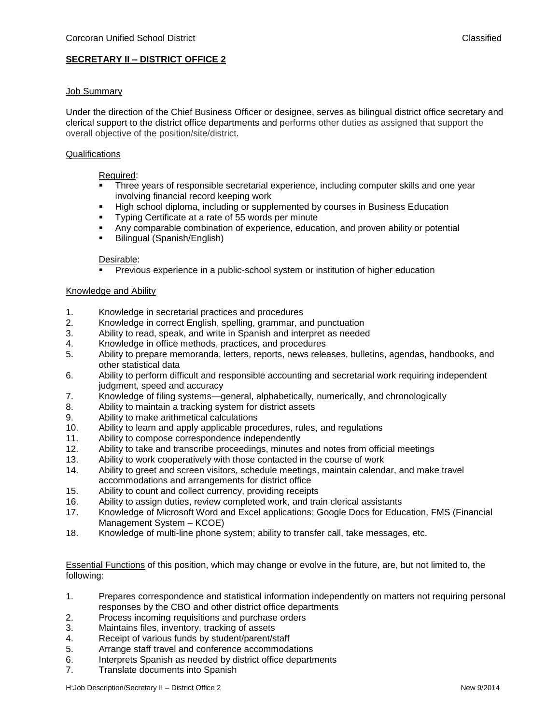# **SECRETARY II – DISTRICT OFFICE 2**

## Job Summary

Under the direction of the Chief Business Officer or designee, serves as bilingual district office secretary and clerical support to the district office departments and performs other duties as assigned that support the overall objective of the position/site/district.

## **Qualifications**

#### Required:

- Three years of responsible secretarial experience, including computer skills and one year involving financial record keeping work
- High school diploma, including or supplemented by courses in Business Education<br>■ Typing Certificate at a rate of 55 words per minute
- Typing Certificate at a rate of 55 words per minute
- **EXT** Any comparable combination of experience, education, and proven ability or potential
- Bilingual (Spanish/English)

#### Desirable:

▪ Previous experience in a public-school system or institution of higher education

#### Knowledge and Ability

- 1. Knowledge in secretarial practices and procedures
- 2. Knowledge in correct English, spelling, grammar, and punctuation
- 3. Ability to read, speak, and write in Spanish and interpret as needed
- 4. Knowledge in office methods, practices, and procedures
- 5. Ability to prepare memoranda, letters, reports, news releases, bulletins, agendas, handbooks, and other statistical data
- 6. Ability to perform difficult and responsible accounting and secretarial work requiring independent judgment, speed and accuracy
- 7. Knowledge of filing systems—general, alphabetically, numerically, and chronologically
- 8. Ability to maintain a tracking system for district assets
- 9. Ability to make arithmetical calculations
- 10. Ability to learn and apply applicable procedures, rules, and regulations
- 11. Ability to compose correspondence independently
- 12. Ability to take and transcribe proceedings, minutes and notes from official meetings
- 13. Ability to work cooperatively with those contacted in the course of work
- 14. Ability to greet and screen visitors, schedule meetings, maintain calendar, and make travel accommodations and arrangements for district office
- 15. Ability to count and collect currency, providing receipts
- 16. Ability to assign duties, review completed work, and train clerical assistants
- 17. Knowledge of Microsoft Word and Excel applications; Google Docs for Education, FMS (Financial Management System – KCOE)
- 18. Knowledge of multi-line phone system; ability to transfer call, take messages, etc.

Essential Functions of this position, which may change or evolve in the future, are, but not limited to, the following:

- 1. Prepares correspondence and statistical information independently on matters not requiring personal responses by the CBO and other district office departments
- 2. Process incoming requisitions and purchase orders
- 3. Maintains files, inventory, tracking of assets
- 4. Receipt of various funds by student/parent/staff
- 5. Arrange staff travel and conference accommodations
- 6. Interprets Spanish as needed by district office departments
- 7. Translate documents into Spanish